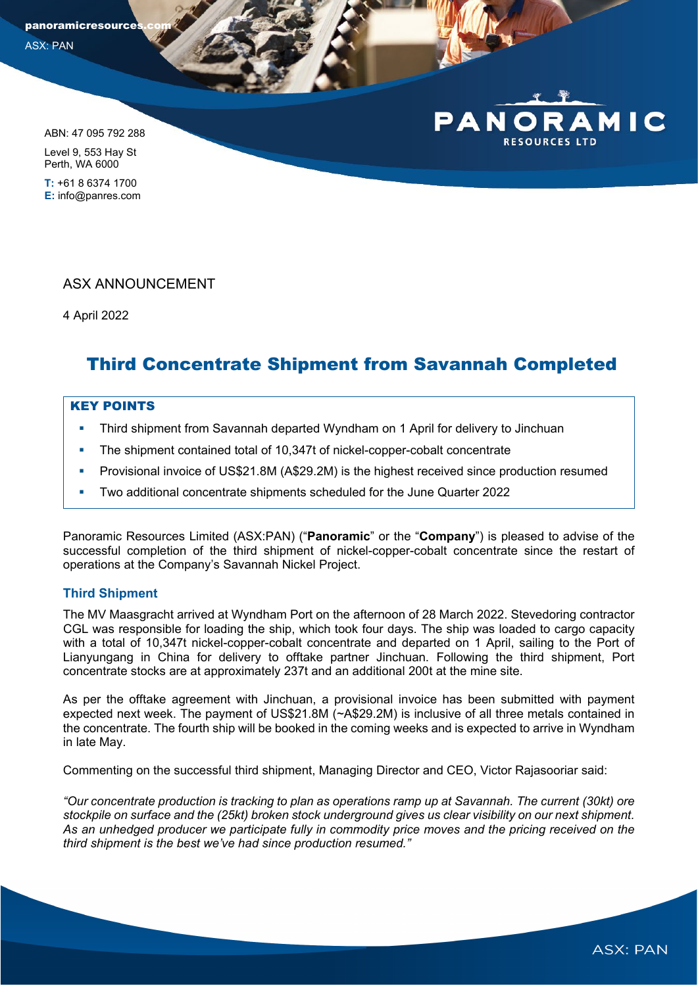panoramicresource ASX: PAN

ABN: 47 095 792 288

Level 9, 553 Hay St Perth, WA 6000

**T:** +61 8 6374 1700 **E:** info@panres.com

# ASX ANNOUNCEMENT

4 April 2022

# Third Concentrate Shipment from Savannah Completed

## KEY POINTS

- **Third shipment from Savannah departed Wyndham on 1 April for delivery to Jinchuan**
- The shipment contained total of 10,347t of nickel-copper-cobalt concentrate
- **Provisional invoice of US\$21.8M (A\$29.2M) is the highest received since production resumed**
- Two additional concentrate shipments scheduled for the June Quarter 2022

Panoramic Resources Limited (ASX:PAN) ("**Panoramic**" or the "**Company**") is pleased to advise of the successful completion of the third shipment of nickel-copper-cobalt concentrate since the restart of operations at the Company's Savannah Nickel Project.

## **Third Shipment**

The MV Maasgracht arrived at Wyndham Port on the afternoon of 28 March 2022. Stevedoring contractor CGL was responsible for loading the ship, which took four days. The ship was loaded to cargo capacity with a total of 10,347t nickel-copper-cobalt concentrate and departed on 1 April, sailing to the Port of Lianyungang in China for delivery to offtake partner Jinchuan. Following the third shipment, Port concentrate stocks are at approximately 237t and an additional 200t at the mine site.

As per the offtake agreement with Jinchuan, a provisional invoice has been submitted with payment expected next week. The payment of US\$21.8M (~A\$29.2M) is inclusive of all three metals contained in the concentrate. The fourth ship will be booked in the coming weeks and is expected to arrive in Wyndham in late May.

Commenting on the successful third shipment, Managing Director and CEO, Victor Rajasooriar said:

*"Our concentrate production is tracking to plan as operations ramp up at Savannah. The current (30kt) ore stockpile on surface and the (25kt) broken stock underground gives us clear visibility on our next shipment. As an unhedged producer we participate fully in commodity price moves and the pricing received on the third shipment is the best we've had since production resumed."*